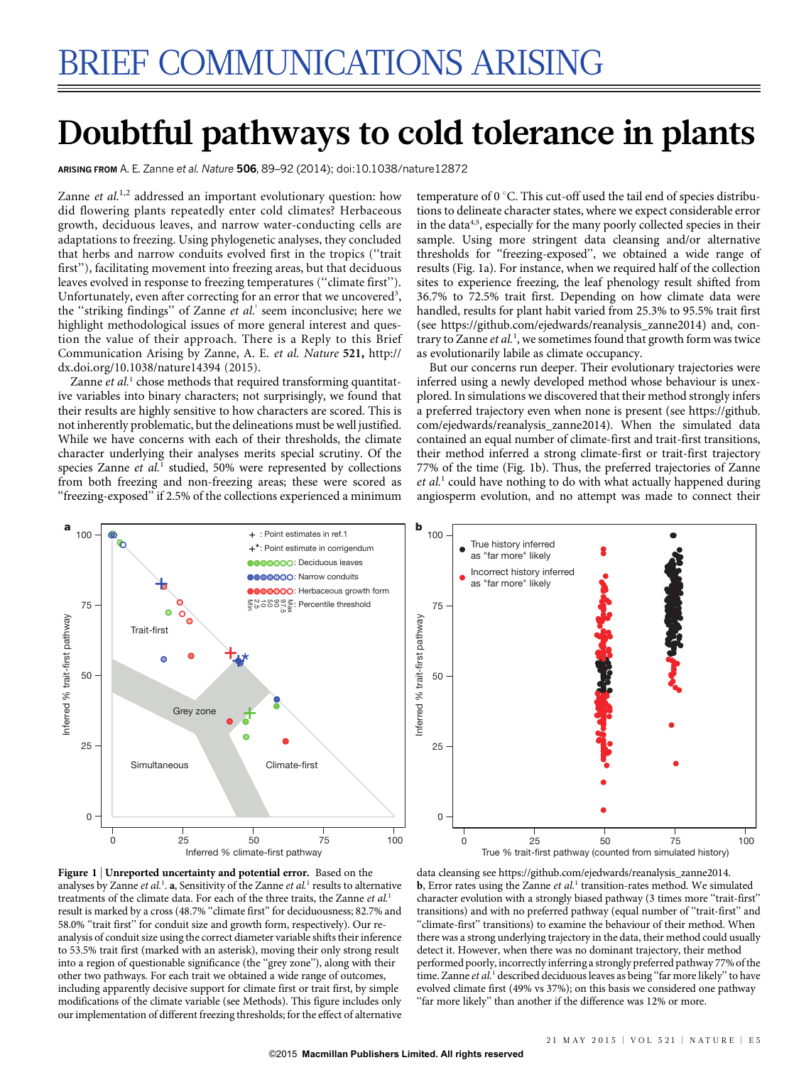# Doubtful pathways to cold tolerance in plants

ARISING FROM A. E. Zanne et al. Nature 506, 89–92 (2014); [doi:10.1038/nature12872](http://www.nature.com/doifinder/10.1038/nature12872)

Zanne et  $al$ .<sup>1,2</sup> addressed an important evolutionary question: how did flowering plants repeatedly enter cold climates? Herbaceous growth, deciduous leaves, and narrow water-conducting cells are adaptations to freezing. Using phylogenetic analyses, they concluded that herbs and narrow conduits evolved first in the tropics (''trait first''), facilitating movement into freezing areas, but that deciduous leaves evolved in response to freezing temperatures (''climate first''). Unfortunately, even after correcting for an error that we uncovered<sup>3</sup>, the "striking findings" of Zanne et al.<sup>1</sup> seem inconclusive; here we highlight methodological issues of more general interest and question the value of their approach. There is a Reply to this Brief Communication Arising by Zanne, A. E. et al. Nature 521, [http://](http://dx.doi.org/10.1038/nature14394) [dx.doi.org/10.1038/nature14394](http://dx.doi.org/10.1038/nature14394) (2015).

Zanne et  $al<sup>1</sup>$  chose methods that required transforming quantitative variables into binary characters; not surprisingly, we found that their results are highly sensitive to how characters are scored. This is not inherently problematic, but the delineations must be well justified. While we have concerns with each of their thresholds, the climate character underlying their analyses merits special scrutiny. Of the species Zanne et al.<sup>1</sup> studied, 50% were represented by collections from both freezing and non-freezing areas; these were scored as ''freezing-exposed'' if 2.5% of the collections experienced a minimum temperature of  $0^{\circ}$ C. This cut-off used the tail end of species distributions to delineate character states, where we expect considerable error in the data  $4.5,$  especially for the many poorly collected species in their sample. Using more stringent data cleansing and/or alternative thresholds for ''freezing-exposed'', we obtained a wide range of results (Fig. 1a). For instance, when we required half of the collection sites to experience freezing, the leaf phenology result shifted from 36.7% to 72.5% trait first. Depending on how climate data were handled, results for plant habit varied from 25.3% to 95.5% trait first (see [https://github.com/ejedwards/reanalysis\\_zanne2014\)](https://github.com/ejedwards/reanalysis_zanne2014) and, contrary to Zanne et al.<sup>1</sup>, we sometimes found that growth form was twice as evolutionarily labile as climate occupancy.

But our concerns run deeper. Their evolutionary trajectories were inferred using a newly developed method whose behaviour is unexplored. In simulations we discovered that their method strongly infers a preferred trajectory even when none is present (see [https://github.](https://github.com/ejedwards/reanalysis_zanne2014) [com/ejedwards/reanalysis\\_zanne2014](https://github.com/ejedwards/reanalysis_zanne2014)). When the simulated data contained an equal number of climate-first and trait-first transitions, their method inferred a strong climate-first or trait-first trajectory 77% of the time (Fig. 1b). Thus, the preferred trajectories of Zanne  $et al.<sup>1</sup>$  could have nothing to do with what actually happened during angiosperm evolution, and no attempt was made to connect their







data cleansing see [https://github.com/ejedwards/reanalysis\\_zanne2014.](https://github.com/ejedwards/reanalysis_zanne2014) **, Error rates using the Zanne** *et al.***<sup>1</sup> transition-rates method. We simulated** character evolution with a strongly biased pathway (3 times more "trait-first" transitions) and with no preferred pathway (equal number of ''trait-first'' and "climate-first" transitions) to examine the behaviour of their method. When there was a strong underlying trajectory in the data, their method could usually detect it. However, when there was no dominant trajectory, their method performed poorly, incorrectly inferring a strongly preferred pathway 77% of the time. Zanne et al.<sup>1</sup> described deciduous leaves as being "far more likely" to have evolved climate first (49% vs 37%); on this basis we considered one pathway "far more likely" than another if the difference was 12% or more.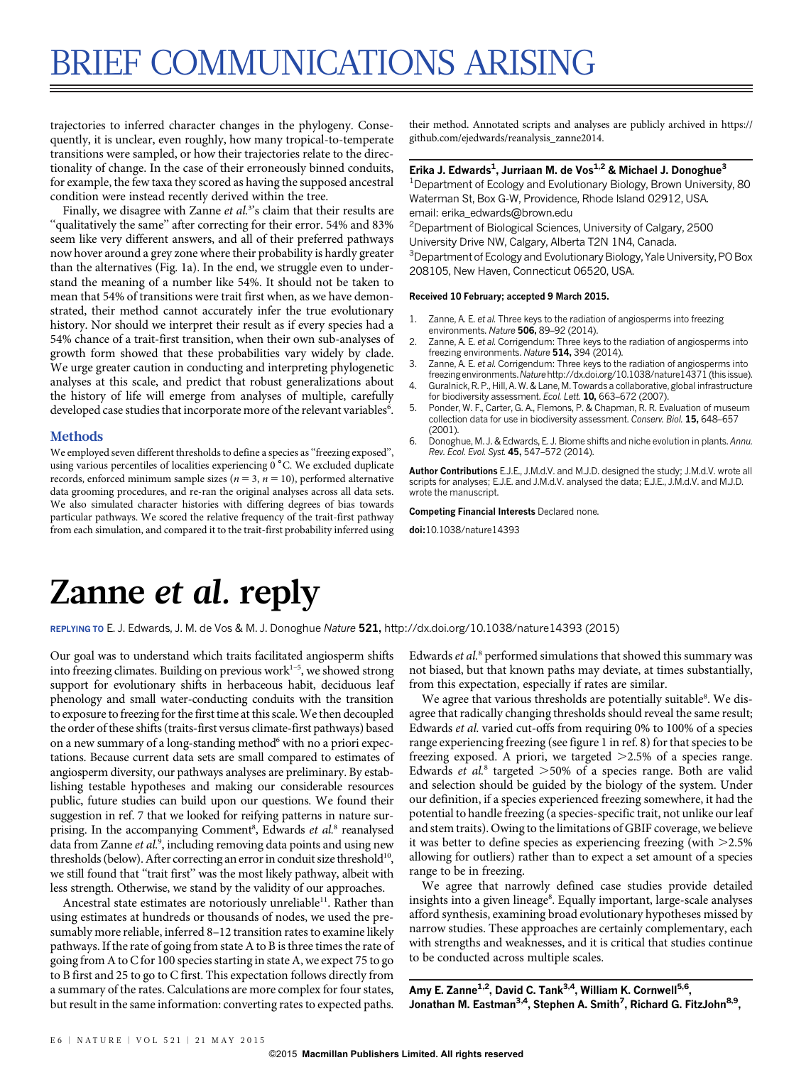# BRIEF COMMUNICATIONS ARISING

trajectories to inferred character changes in the phylogeny. Consequently, it is unclear, even roughly, how many tropical-to-temperate transitions were sampled, or how their trajectories relate to the directionality of change. In the case of their erroneously binned conduits, for example, the few taxa they scored as having the supposed ancestral condition were instead recently derived within the tree.

Finally, we disagree with Zanne et al.<sup>3</sup>'s claim that their results are ''qualitatively the same'' after correcting for their error. 54% and 83% seem like very different answers, and all of their preferred pathways now hover around a grey zone where their probability is hardly greater than the alternatives (Fig. 1a). In the end, we struggle even to understand the meaning of a number like 54%. It should not be taken to mean that 54% of transitions were trait first when, as we have demonstrated, their method cannot accurately infer the true evolutionary history. Nor should we interpret their result as if every species had a 54% chance of a trait-first transition, when their own sub-analyses of growth form showed that these probabilities vary widely by clade. We urge greater caution in conducting and interpreting phylogenetic analyses at this scale, and predict that robust generalizations about the history of life will emerge from analyses of multiple, carefully developed case studies that incorporate more of the relevant variables<sup>6</sup>.

#### Methods

We employed seven different thresholds to define a species as "freezing exposed", using various percentiles of localities experiencing 0 °C. We excluded duplicate records, enforced minimum sample sizes ( $n = 3$ ,  $n = 10$ ), performed alternative data grooming procedures, and re-ran the original analyses across all data sets. We also simulated character histories with differing degrees of bias towards particular pathways. We scored the relative frequency of the trait-first pathway from each simulation, and compared it to the trait-first probability inferred using

their method. Annotated scripts and analyses are publicly archived in [https://](https://github.com/ejedwards/reanalysis_zanne2014) [github.com/ejedwards/reanalysis\\_zanne2014.](https://github.com/ejedwards/reanalysis_zanne2014)

#### Erika J. Edwards<sup>1</sup>, Jurriaan M. de Vos<sup>1,2</sup> & Michael J. Donoghue<sup>3</sup>

<sup>1</sup> Department of Ecology and Evolutionary Biology, Brown University, 80 Waterman St, Box G-W, Providence, Rhode Island 02912, USA. [email: erika\\_edwards@brown.edu](mailto:erika_edwards@brown.edu)

2 Department of Biological Sciences, University of Calgary, 2500 University Drive NW, Calgary, Alberta T2N 1N4, Canada.

<sup>3</sup>Department of Ecology and Evolutionary Biology, Yale University, PO Box 208105, New Haven, Connecticut 06520, USA.

#### Received 10 February; accepted 9 March 2015.

- 1. Zanne, A. E. et al. Three keys to the radiation of angiosperms into freezing environments. Nature 506, 89–92 (2014).
- 2. Zanne, A. E. et al. Corrigendum: Three keys to the radiation of angiosperms into freezing environments. Nature 514, 394 (2014).
- 3. Zanne, A. E. et al. Corrigendum: Three keys to the radiation of angiosperms into freezing environments. Nature <http://dx.doi.org/10.1038/nature14371> (this issue).
- 4. Guralnick, R. P., Hill, A. W. & Lane, M. Towards a collaborative, global infrastructure for biodiversity assessment. Ecol. Lett. 10, 663-672 (2007).
- 5. Ponder, W. F., Carter, G. A., Flemons, P. & Chapman, R. R. Evaluation of museum collection data for use in biodiversity assessment. Conserv. Biol. 15, 648–657 (2001).
- 6. Donoghue, M. J. & Edwards, E. J. Biome shifts and niche evolution in plants. Annu. Rev. Ecol. Evol. Syst. 45, 547–572 (2014).

Author Contributions E.J.E., J.M.d.V. and M.J.D. designed the study; J.M.d.V. wrote all scripts for analyses; E.J.E. and J.M.d.V. analysed the data; E.J.E., J.M.d.V. and M.J.D. wrote the manuscript.

Competing Financial Interests Declared none.

doi:10.1038/nature14393

### Zanne et al. reply

REPLYING TO E. J. Edwards, J. M. de Vos & M. J. Donoghue Nature 521, <http://dx.doi.org/10.1038/nature14393> (2015)

Our goal was to understand which traits facilitated angiosperm shifts into freezing climates. Building on previous work $1-5$ , we showed strong support for evolutionary shifts in herbaceous habit, deciduous leaf phenology and small water-conducting conduits with the transition to exposure to freezing for the first time at this scale.We then decoupled the order of these shifts (traits-first versus climate-first pathways) based on a new summary of a long-standing method<sup>6</sup> with no a priori expectations. Because current data sets are small compared to estimates of angiosperm diversity, our pathways analyses are preliminary. By establishing testable hypotheses and making our considerable resources public, future studies can build upon our questions. We found their suggestion in ref. 7 that we looked for reifying patterns in nature surprising. In the accompanying Comment<sup>8</sup>, Edwards et al.<sup>8</sup> reanalysed data from Zanne et al.<sup>9</sup>, including removing data points and using new thresholds (below). After correcting an error in conduit size threshold<sup>10</sup>, we still found that ''trait first'' was the most likely pathway, albeit with less strength. Otherwise, we stand by the validity of our approaches.

Ancestral state estimates are notoriously unreliable<sup>11</sup>. Rather than using estimates at hundreds or thousands of nodes, we used the presumably more reliable, inferred 8–12 transition rates to examine likely pathways. If the rate of going from state A to B is three times the rate of going from A to C for 100 species starting in state A, we expect 75 to go to B first and 25 to go to C first. This expectation follows directly from a summary of the rates. Calculations are more complex for four states, but result in the same information: converting rates to expected paths.

Edwards et al.<sup>8</sup> performed simulations that showed this summary was not biased, but that known paths may deviate, at times substantially, from this expectation, especially if rates are similar.

We agree that various thresholds are potentially suitable8. We disagree that radically changing thresholds should reveal the same result; Edwards et al. varied cut-offs from requiring 0% to 100% of a species range experiencing freezing (see figure 1 in ref. 8) for that species to be freezing exposed. A priori, we targeted  $>2.5%$  of a species range. Edwards et al.<sup>8</sup> targeted  $>50\%$  of a species range. Both are valid and selection should be guided by the biology of the system. Under our definition, if a species experienced freezing somewhere, it had the potential to handle freezing (a species-specific trait, not unlike our leaf and stem traits). Owing to the limitations of GBIF coverage, we believe it was better to define species as experiencing freezing (with  $>2.5\%$ allowing for outliers) rather than to expect a set amount of a species range to be in freezing.

We agree that narrowly defined case studies provide detailed insights into a given lineage<sup>8</sup>. Equally important, large-scale analyses afford synthesis, examining broad evolutionary hypotheses missed by narrow studies. These approaches are certainly complementary, each with strengths and weaknesses, and it is critical that studies continue to be conducted across multiple scales.

Amy E. Zanne<sup>1,2</sup>, David C. Tank<sup>3,4</sup>, William K. Cornwell<sup>5,6</sup>, Jonathan M. Eastman<sup>3,4</sup>, Stephen A. Smith<sup>7</sup>, Richard G. FitzJohn<sup>8,9</sup>,